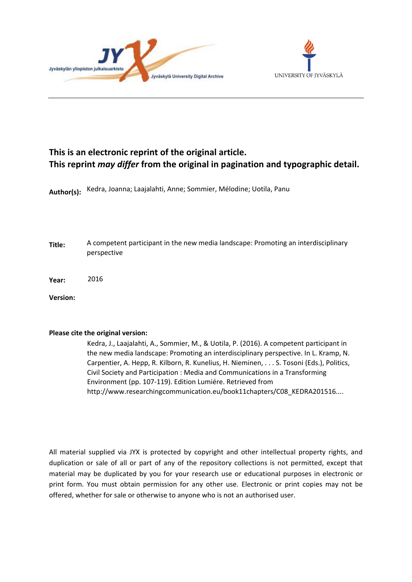



# **This is an electronic reprint of the original article. This reprint** *may differ* **from the original in pagination and typographic detail.**

**Author(s):**  Kedra, Joanna; Laajalahti, Anne; Sommier, Mélodine; Uotila, Panu

**Title:** A competent participant in the new media landscape: Promoting an interdisciplinary perspective

**Year:**  2016

**Version:**

## **Please cite the original version:**

Kedra, J., Laajalahti, A., Sommier, M., & Uotila, P. (2016). A competent participant in the new media landscape: Promoting an interdisciplinary perspective. In L. Kramp, N. Carpentier, A. Hepp, R. Kilborn, R. Kunelius, H. Nieminen, . . . S. Tosoni (Eds.), Politics, Civil Society and Participation : Media and Communications in a Transforming Environment (pp. 107-119). Edition Lumiére. Retrieved from http://www.researchingcommunication.eu/book11chapters/C08\_KEDRA201516....

All material supplied via JYX is protected by copyright and other intellectual property rights, and duplication or sale of all or part of any of the repository collections is not permitted, except that material may be duplicated by you for your research use or educational purposes in electronic or print form. You must obtain permission for any other use. Electronic or print copies may not be offered, whether for sale or otherwise to anyone who is not an authorised user.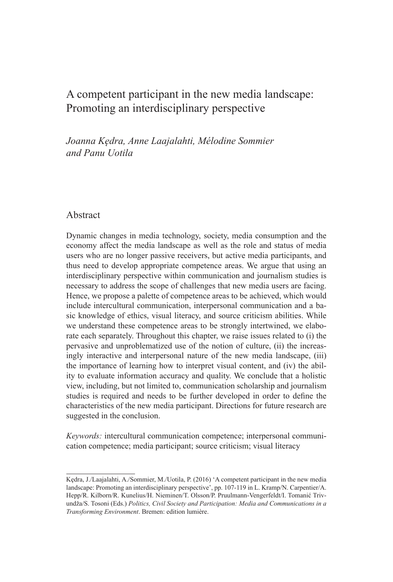## A competent participant in the new media landscape: Promoting an interdisciplinary perspective

*Joanna Kędra, Anne Laajalahti, Mélodine Sommier and Panu Uotila*

## Abstract

Dynamic changes in media technology, society, media consumption and the economy affect the media landscape as well as the role and status of media users who are no longer passive receivers, but active media participants, and thus need to develop appropriate competence areas. We argue that using an interdisciplinary perspective within communication and journalism studies is necessary to address the scope of challenges that new media users are facing. Hence, we propose a palette of competence areas to be achieved, which would include intercultural communication, interpersonal communication and a basic knowledge of ethics, visual literacy, and source criticism abilities. While we understand these competence areas to be strongly intertwined, we elaborate each separately. Throughout this chapter, we raise issues related to (i) the pervasive and unproblematized use of the notion of culture, (ii) the increasingly interactive and interpersonal nature of the new media landscape, (iii) the importance of learning how to interpret visual content, and (iv) the ability to evaluate information accuracy and quality. We conclude that a holistic view, including, but not limited to, communication scholarship and journalism studies is required and needs to be further developed in order to define the characteristics of the new media participant. Directions for future research are suggested in the conclusion.

*Keywords:* intercultural communication competence; interpersonal communication competence; media participant; source criticism; visual literacy

Kędra, J./Laajalahti, A./Sommier, M./Uotila, P. (2016) 'A competent participant in the new media landscape: Promoting an interdisciplinary perspective', pp. 107-119 in L. Kramp/N. Carpentier/A. Hepp/R. Kilborn/R. Kunelius/H. Nieminen/T. Olsson/P. Pruulmann-Vengerfeldt/I. Tomanić Trivundža/S. Tosoni (Eds.) *Politics, Civil Society and Participation: Media and Communications in a Transforming Environment*. Bremen: edition lumière.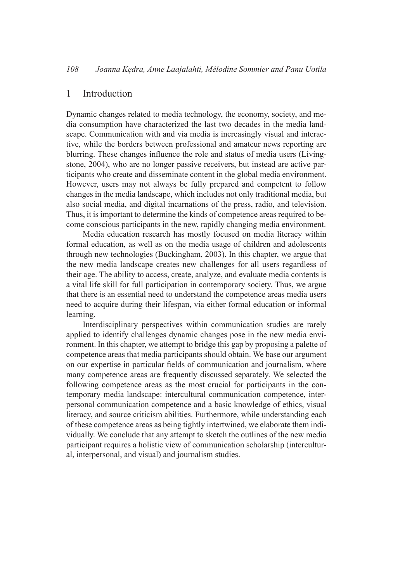#### 1 Introduction

Dynamic changes related to media technology, the economy, society, and media consumption have characterized the last two decades in the media landscape. Communication with and via media is increasingly visual and interactive, while the borders between professional and amateur news reporting are blurring. These changes influence the role and status of media users (Livingstone, 2004), who are no longer passive receivers, but instead are active participants who create and disseminate content in the global media environment. However, users may not always be fully prepared and competent to follow changes in the media landscape, which includes not only traditional media, but also social media, and digital incarnations of the press, radio, and television. Thus, it is important to determine the kinds of competence areas required to become conscious participants in the new, rapidly changing media environment.

Media education research has mostly focused on media literacy within formal education, as well as on the media usage of children and adolescents through new technologies (Buckingham, 2003). In this chapter, we argue that the new media landscape creates new challenges for all users regardless of their age. The ability to access, create, analyze, and evaluate media contents is a vital life skill for full participation in contemporary society. Thus, we argue that there is an essential need to understand the competence areas media users need to acquire during their lifespan, via either formal education or informal learning.

Interdisciplinary perspectives within communication studies are rarely applied to identify challenges dynamic changes pose in the new media environment. In this chapter, we attempt to bridge this gap by proposing a palette of competence areas that media participants should obtain. We base our argument on our expertise in particular fields of communication and journalism, where many competence areas are frequently discussed separately. We selected the following competence areas as the most crucial for participants in the contemporary media landscape: intercultural communication competence, interpersonal communication competence and a basic knowledge of ethics, visual literacy, and source criticism abilities. Furthermore, while understanding each of these competence areas as being tightly intertwined, we elaborate them individually. We conclude that any attempt to sketch the outlines of the new media participant requires a holistic view of communication scholarship (intercultural, interpersonal, and visual) and journalism studies.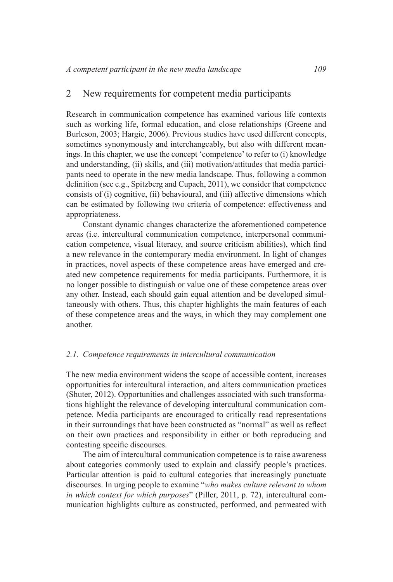#### 2 New requirements for competent media participants

Research in communication competence has examined various life contexts such as working life, formal education, and close relationships (Greene and Burleson, 2003; Hargie, 2006). Previous studies have used different concepts, sometimes synonymously and interchangeably, but also with different meanings. In this chapter, we use the concept 'competence' to refer to (i) knowledge and understanding, (ii) skills, and (iii) motivation/attitudes that media participants need to operate in the new media landscape. Thus, following a common definition (see e.g., Spitzberg and Cupach, 2011), we consider that competence consists of (i) cognitive, (ii) behavioural, and (iii) affective dimensions which can be estimated by following two criteria of competence: effectiveness and appropriateness.

Constant dynamic changes characterize the aforementioned competence areas (i.e. intercultural communication competence, interpersonal communication competence, visual literacy, and source criticism abilities), which find a new relevance in the contemporary media environment. In light of changes in practices, novel aspects of these competence areas have emerged and created new competence requirements for media participants. Furthermore, it is no longer possible to distinguish or value one of these competence areas over any other. Instead, each should gain equal attention and be developed simultaneously with others. Thus, this chapter highlights the main features of each of these competence areas and the ways, in which they may complement one another.

#### *2.1. Competence requirements in intercultural communication*

The new media environment widens the scope of accessible content, increases opportunities for intercultural interaction, and alters communication practices (Shuter, 2012). Opportunities and challenges associated with such transformations highlight the relevance of developing intercultural communication competence. Media participants are encouraged to critically read representations in their surroundings that have been constructed as "normal" as well as relect on their own practices and responsibility in either or both reproducing and contesting specific discourses.

The aim of intercultural communication competence is to raise awareness about categories commonly used to explain and classify people's practices. Particular attention is paid to cultural categories that increasingly punctuate discourses. In urging people to examine "*who makes culture relevant to whom in which context for which purposes*" (Piller, 2011, p. 72), intercultural communication highlights culture as constructed, performed, and permeated with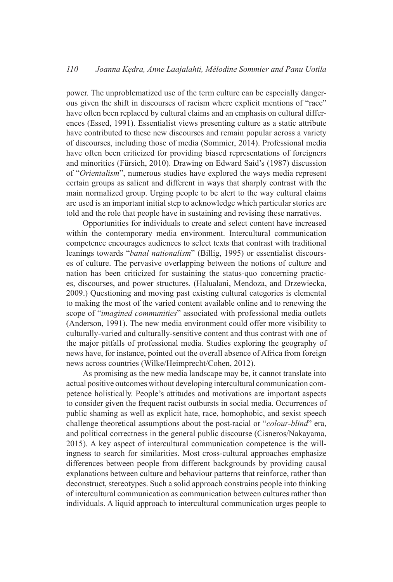power. The unproblematized use of the term culture can be especially dangerous given the shift in discourses of racism where explicit mentions of "race" have often been replaced by cultural claims and an emphasis on cultural differences (Essed, 1991). Essentialist views presenting culture as a static attribute have contributed to these new discourses and remain popular across a variety of discourses, including those of media (Sommier, 2014). Professional media have often been criticized for providing biased representations of foreigners and minorities (Fürsich, 2010). Drawing on Edward Said's (1987) discussion of "*Orientalism*", numerous studies have explored the ways media represent certain groups as salient and different in ways that sharply contrast with the main normalized group. Urging people to be alert to the way cultural claims are used is an important initial step to acknowledge which particular stories are told and the role that people have in sustaining and revising these narratives.

Opportunities for individuals to create and select content have increased within the contemporary media environment. Intercultural communication competence encourages audiences to select texts that contrast with traditional leanings towards "*banal nationalism*" (Billig, 1995) or essentialist discourses of culture. The pervasive overlapping between the notions of culture and nation has been criticized for sustaining the status-quo concerning practices, discourses, and power structures. (Halualani, Mendoza, and Drzewiecka, 2009.) Questioning and moving past existing cultural categories is elemental to making the most of the varied content available online and to renewing the scope of "*imagined communities*" associated with professional media outlets (Anderson, 1991). The new media environment could offer more visibility to culturally-varied and culturally-sensitive content and thus contrast with one of the major pitfalls of professional media. Studies exploring the geography of news have, for instance, pointed out the overall absence of Africa from foreign news across countries (Wilke/Heimprecht/Cohen, 2012).

As promising as the new media landscape may be, it cannot translate into actual positive outcomes without developing intercultural communication competence holistically. People's attitudes and motivations are important aspects to consider given the frequent racist outbursts in social media. Occurrences of public shaming as well as explicit hate, race, homophobic, and sexist speech challenge theoretical assumptions about the post-racial or "*colour-blind*" era, and political correctness in the general public discourse (Cisneros/Nakayama, 2015). A key aspect of intercultural communication competence is the willingness to search for similarities. Most cross-cultural approaches emphasize differences between people from different backgrounds by providing causal explanations between culture and behaviour patterns that reinforce, rather than deconstruct, stereotypes. Such a solid approach constrains people into thinking of intercultural communication as communication between cultures rather than individuals. A liquid approach to intercultural communication urges people to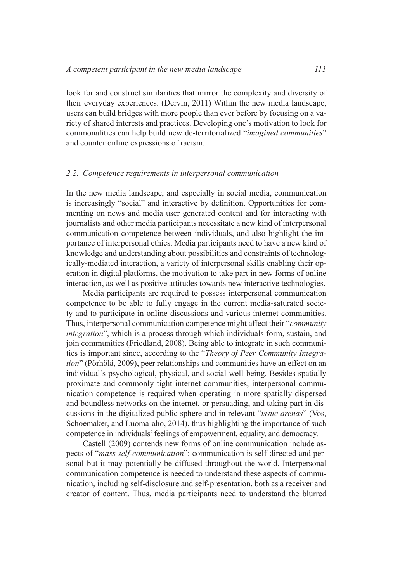look for and construct similarities that mirror the complexity and diversity of their everyday experiences. (Dervin, 2011) Within the new media landscape, users can build bridges with more people than ever before by focusing on a variety of shared interests and practices. Developing one's motivation to look for commonalities can help build new de-territorialized "*imagined communities*" and counter online expressions of racism.

#### *2.2. Competence requirements in interpersonal communication*

In the new media landscape, and especially in social media, communication is increasingly "social" and interactive by definition. Opportunities for commenting on news and media user generated content and for interacting with journalists and other media participants necessitate a new kind of interpersonal communication competence between individuals, and also highlight the importance of interpersonal ethics. Media participants need to have a new kind of knowledge and understanding about possibilities and constraints of technologically-mediated interaction, a variety of interpersonal skills enabling their operation in digital platforms, the motivation to take part in new forms of online interaction, as well as positive attitudes towards new interactive technologies.

Media participants are required to possess interpersonal communication competence to be able to fully engage in the current media-saturated society and to participate in online discussions and various internet communities. Thus, interpersonal communication competence might affect their "*community integration*", which is a process through which individuals form, sustain, and join communities (Friedland, 2008). Being able to integrate in such communities is important since, according to the "*Theory of Peer Community Integration*" (Pörhölä, 2009), peer relationships and communities have an effect on an individual's psychological, physical, and social well-being. Besides spatially proximate and commonly tight internet communities, interpersonal communication competence is required when operating in more spatially dispersed and boundless networks on the internet, or persuading, and taking part in discussions in the digitalized public sphere and in relevant "*issue arenas*" (Vos, Schoemaker, and Luoma-aho, 2014), thus highlighting the importance of such competence in individuals' feelings of empowerment, equality, and democracy.

Castell (2009) contends new forms of online communication include aspects of "*mass self-communication*": communication is self-directed and personal but it may potentially be diffused throughout the world. Interpersonal communication competence is needed to understand these aspects of communication, including self-disclosure and self-presentation, both as a receiver and creator of content. Thus, media participants need to understand the blurred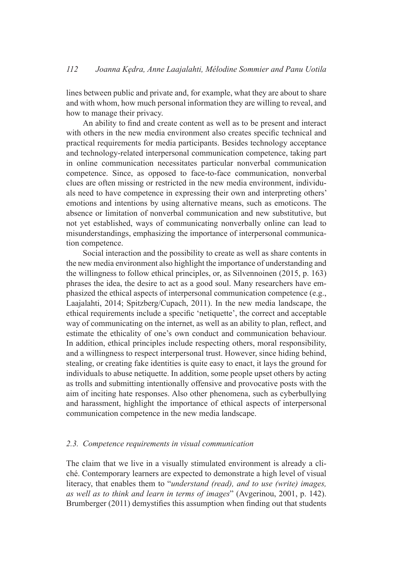lines between public and private and, for example, what they are about to share and with whom, how much personal information they are willing to reveal, and how to manage their privacy.

An ability to find and create content as well as to be present and interact with others in the new media environment also creates specific technical and practical requirements for media participants. Besides technology acceptance and technology-related interpersonal communication competence, taking part in online communication necessitates particular nonverbal communication competence. Since, as opposed to face-to-face communication, nonverbal clues are often missing or restricted in the new media environment, individuals need to have competence in expressing their own and interpreting others' emotions and intentions by using alternative means, such as emoticons. The absence or limitation of nonverbal communication and new substitutive, but not yet established, ways of communicating nonverbally online can lead to misunderstandings, emphasizing the importance of interpersonal communication competence.

Social interaction and the possibility to create as well as share contents in the new media environment also highlight the importance of understanding and the willingness to follow ethical principles, or, as Silvennoinen (2015, p. 163) phrases the idea, the desire to act as a good soul. Many researchers have emphasized the ethical aspects of interpersonal communication competence (e.g., Laajalahti, 2014; Spitzberg/Cupach, 2011). In the new media landscape, the ethical requirements include a speciic 'netiquette', the correct and acceptable way of communicating on the internet, as well as an ability to plan, reflect, and estimate the ethicality of one's own conduct and communication behaviour. In addition, ethical principles include respecting others, moral responsibility, and a willingness to respect interpersonal trust. However, since hiding behind, stealing, or creating fake identities is quite easy to enact, it lays the ground for individuals to abuse netiquette. In addition, some people upset others by acting as trolls and submitting intentionally offensive and provocative posts with the aim of inciting hate responses. Also other phenomena, such as cyberbullying and harassment, highlight the importance of ethical aspects of interpersonal communication competence in the new media landscape.

#### *2.3. Competence requirements in visual communication*

The claim that we live in a visually stimulated environment is already a cliché. Contemporary learners are expected to demonstrate a high level of visual literacy, that enables them to "*understand (read), and to use (write) images, as well as to think and learn in terms of images*" (Avgerinou, 2001, p. 142). Brumberger (2011) demystifies this assumption when finding out that students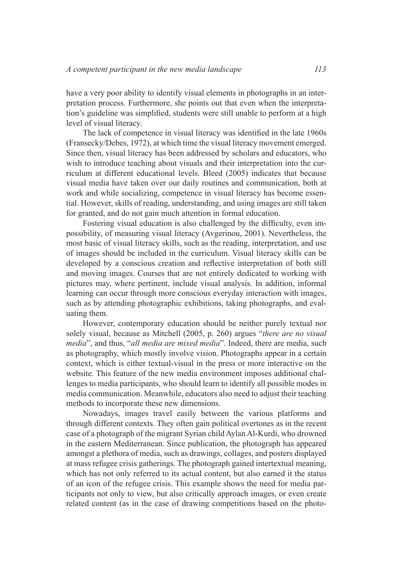have a very poor ability to identify visual elements in photographs in an interpretation process. Furthermore, she points out that even when the interpretation's guideline was simplified, students were still unable to perform at a high level of visual literacy.

The lack of competence in visual literacy was identified in the late 1960s (Fransecky/Debes, 1972), at which time the visual literacy movement emerged. Since then, visual literacy has been addressed by scholars and educators, who wish to introduce teaching about visuals and their interpretation into the curriculum at different educational levels. Bleed (2005) indicates that because visual media have taken over our daily routines and communication, both at work and while socializing, competence in visual literacy has become essential. However, skills of reading, understanding, and using images are still taken for granted, and do not gain much attention in formal education.

Fostering visual education is also challenged by the dificulty, even impossibility, of measuring visual literacy (Avgerinou, 2001). Nevertheless, the most basic of visual literacy skills, such as the reading, interpretation, and use of images should be included in the curriculum. Visual literacy skills can be developed by a conscious creation and relective interpretation of both still and moving images. Courses that are not entirely dedicated to working with pictures may, where pertinent, include visual analysis. In addition, informal learning can occur through more conscious everyday interaction with images, such as by attending photographic exhibitions, taking photographs, and evaluating them.

However, contemporary education should be neither purely textual nor solely visual, because as Mitchell (2005, p. 260) argues "*there are no visual media*", and thus, "*all media are mixed media*". Indeed, there are media, such as photography, which mostly involve vision. Photographs appear in a certain context, which is either textual-visual in the press or more interactive on the website. This feature of the new media environment imposes additional challenges to media participants, who should learn to identify all possible modes in media communication. Meanwhile, educators also need to adjust their teaching methods to incorporate these new dimensions.

Nowadays, images travel easily between the various platforms and through different contexts. They often gain political overtones as in the recent case of a photograph of the migrant Syrian child Aylan Al-Kurdi, who drowned in the eastern Mediterranean. Since publication, the photograph has appeared amongst a plethora of media, such as drawings, collages, and posters displayed at mass refugee crisis gatherings. The photograph gained intertextual meaning, which has not only referred to its actual content, but also earned it the status of an icon of the refugee crisis. This example shows the need for media participants not only to view, but also critically approach images, or even create related content (as in the case of drawing competitions based on the photo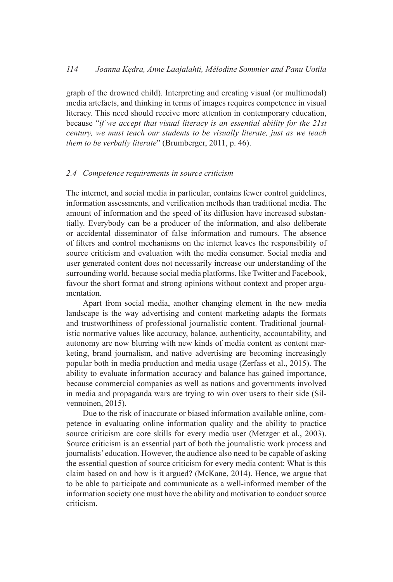graph of the drowned child). Interpreting and creating visual (or multimodal) media artefacts, and thinking in terms of images requires competence in visual literacy. This need should receive more attention in contemporary education, because "*if we accept that visual literacy is an essential ability for the 21st century, we must teach our students to be visually literate, just as we teach them to be verbally literate*" (Brumberger, 2011, p. 46).

#### *2.4 Competence requirements in source criticism*

The internet, and social media in particular, contains fewer control guidelines, information assessments, and verification methods than traditional media. The amount of information and the speed of its diffusion have increased substantially. Everybody can be a producer of the information, and also deliberate or accidental disseminator of false information and rumours. The absence of ilters and control mechanisms on the internet leaves the responsibility of source criticism and evaluation with the media consumer. Social media and user generated content does not necessarily increase our understanding of the surrounding world, because social media platforms, like Twitter and Facebook, favour the short format and strong opinions without context and proper argumentation.

Apart from social media, another changing element in the new media landscape is the way advertising and content marketing adapts the formats and trustworthiness of professional journalistic content. Traditional journalistic normative values like accuracy, balance, authenticity, accountability, and autonomy are now blurring with new kinds of media content as content marketing, brand journalism, and native advertising are becoming increasingly popular both in media production and media usage (Zerfass et al., 2015). The ability to evaluate information accuracy and balance has gained importance, because commercial companies as well as nations and governments involved in media and propaganda wars are trying to win over users to their side (Silvennoinen, 2015).

Due to the risk of inaccurate or biased information available online, competence in evaluating online information quality and the ability to practice source criticism are core skills for every media user (Metzger et al., 2003). Source criticism is an essential part of both the journalistic work process and journalists' education. However, the audience also need to be capable of asking the essential question of source criticism for every media content: What is this claim based on and how is it argued? (McKane, 2014). Hence, we argue that to be able to participate and communicate as a well-informed member of the information society one must have the ability and motivation to conduct source criticism.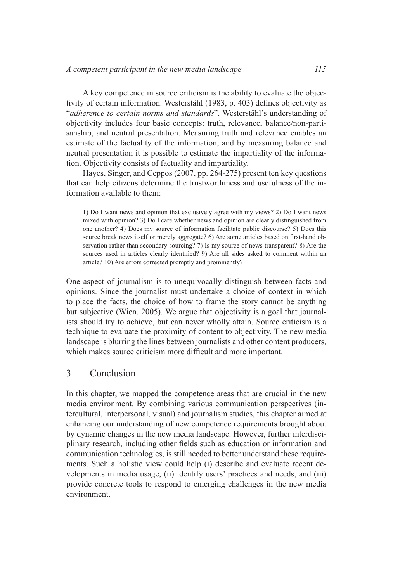A key competence in source criticism is the ability to evaluate the objectivity of certain information. Westerståhl (1983, p. 403) defines objectivity as "*adherence to certain norms and standards*". Westerståhl's understanding of objectivity includes four basic concepts: truth, relevance, balance/non-partisanship, and neutral presentation. Measuring truth and relevance enables an estimate of the factuality of the information, and by measuring balance and neutral presentation it is possible to estimate the impartiality of the information. Objectivity consists of factuality and impartiality.

Hayes, Singer, and Ceppos (2007, pp. 264-275) present ten key questions that can help citizens determine the trustworthiness and usefulness of the information available to them:

1) Do I want news and opinion that exclusively agree with my views? 2) Do I want news mixed with opinion? 3) Do I care whether news and opinion are clearly distinguished from one another? 4) Does my source of information facilitate public discourse? 5) Does this source break news itself or merely aggregate? 6) Are some articles based on first-hand observation rather than secondary sourcing? 7) Is my source of news transparent? 8) Are the sources used in articles clearly identified? 9) Are all sides asked to comment within an article? 10) Are errors corrected promptly and prominently?

One aspect of journalism is to unequivocally distinguish between facts and opinions. Since the journalist must undertake a choice of context in which to place the facts, the choice of how to frame the story cannot be anything but subjective (Wien, 2005). We argue that objectivity is a goal that journalists should try to achieve, but can never wholly attain. Source criticism is a technique to evaluate the proximity of content to objectivity. The new media landscape is blurring the lines between journalists and other content producers, which makes source criticism more dificult and more important.

## 3 Conclusion

In this chapter, we mapped the competence areas that are crucial in the new media environment. By combining various communication perspectives (intercultural, interpersonal, visual) and journalism studies, this chapter aimed at enhancing our understanding of new competence requirements brought about by dynamic changes in the new media landscape. However, further interdisciplinary research, including other ields such as education or information and communication technologies, is still needed to better understand these requirements. Such a holistic view could help (i) describe and evaluate recent developments in media usage, (ii) identify users' practices and needs, and (iii) provide concrete tools to respond to emerging challenges in the new media environment.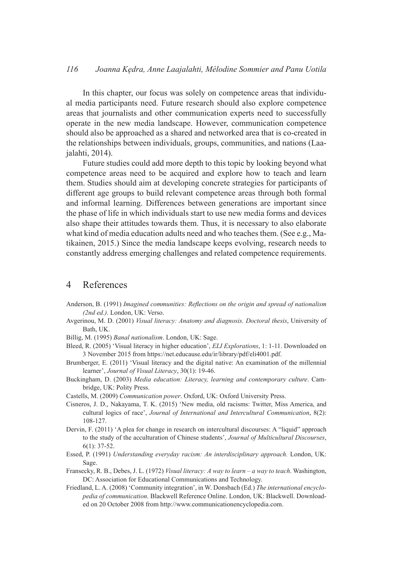In this chapter, our focus was solely on competence areas that individual media participants need. Future research should also explore competence areas that journalists and other communication experts need to successfully operate in the new media landscape. However, communication competence should also be approached as a shared and networked area that is co-created in the relationships between individuals, groups, communities, and nations (Laajalahti, 2014).

Future studies could add more depth to this topic by looking beyond what competence areas need to be acquired and explore how to teach and learn them. Studies should aim at developing concrete strategies for participants of different age groups to build relevant competence areas through both formal and informal learning. Differences between generations are important since the phase of life in which individuals start to use new media forms and devices also shape their attitudes towards them. Thus, it is necessary to also elaborate what kind of media education adults need and who teaches them. (See e.g., Matikainen, 2015.) Since the media landscape keeps evolving, research needs to constantly address emerging challenges and related competence requirements.

## 4 References

- Anderson, B. (1991) *Imagined communities: Relections on the origin and spread of nationalism (2nd ed.)*. London, UK: Verso.
- Avgerinou, M. D. (2001) *Visual literacy: Anatomy and diagnosis. Doctoral thesis*, University of Bath, UK.
- Billig, M. (1995) *Banal nationalism*. London, UK: Sage.
- Bleed, R. (2005) 'Visual literacy in higher education', *ELI Explorations*, 1: 1-11. Downloaded on 3 November 2015 from https://net.educause.edu/ir/library/pdf/eli4001.pdf.
- Brumberger, E. (2011) 'Visual literacy and the digital native: An examination of the millennial learner', *Journal of Visual Literacy*, 30(1): 19-46.
- Buckingham, D. (2003) *Media education: Literacy, learning and contemporary culture*. Cambridge, UK: Polity Press.
- Castells, M. (2009) *Communication power*. Oxford, UK: Oxford University Press.
- Cisneros, J. D., Nakayama, T. K. (2015) 'New media, old racisms: Twitter, Miss America, and cultural logics of race', *Journal of International and Intercultural Communication*, 8(2): 108-127.
- Dervin, F. (2011) 'A plea for change in research on intercultural discourses: A "liquid" approach to the study of the acculturation of Chinese students', *Journal of Multicultural Discourses*, 6(1): 37-52.
- Essed, P. (1991) *Understanding everyday racism: An interdisciplinary approach.* London, UK: Sage.
- Fransecky, R. B., Debes, J. L. (1972) *Visual literacy: A way to learn a way to teach*. Washington, DC: Association for Educational Communications and Technology.
- Friedland, L. A. (2008) 'Community integration', in W. Donsbach (Ed.) *The international encyclopedia of communication*. Blackwell Reference Online. London, UK: Blackwell. Downloaded on 20 October 2008 from http://www.communicationencyclopedia.com.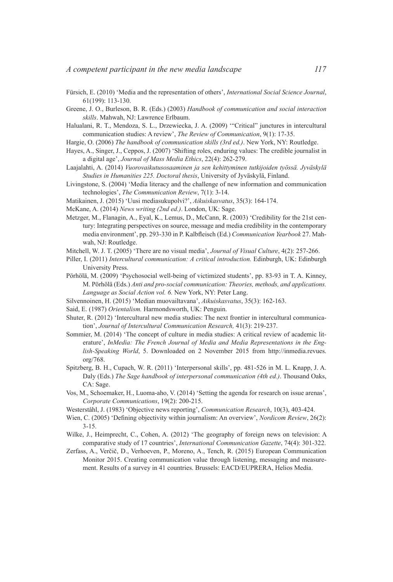- Fürsich, E. (2010) 'Media and the representation of others', *International Social Science Journal*, 61(199): 113-130.
- Greene, J. O., Burleson, B. R. (Eds.) (2003) *Handbook of communication and social interaction skills*. Mahwah, NJ: Lawrence Erlbaum.
- Halualani, R. T., Mendoza, S. L., Drzewiecka, J. A. (2009) '"Critical" junctures in intercultural communication studies: A review', *The Review of Communication*, 9(1): 17-35.
- Hargie, O. (2006) *The handbook of communication skills (3rd ed.)*. New York, NY: Routledge.
- Hayes, A., Singer, J., Ceppos, J. (2007) 'Shifting roles, enduring values: The credible journalist in a digital age', *Journal of Mass Media Ethics*, 22(4): 262-279.
- Laajalahti, A. (2014) *Vuorovaikutusosaaminen ja sen kehittyminen tutkijoiden työssä. Jyväskylä Studies in Humanities 225. Doctoral thesis*, University of Jyväskylä, Finland.
- Livingstone, S. (2004) 'Media literacy and the challenge of new information and communication technologies', *The Communication Review*, 7(1): 3-14.
- Matikainen, J. (2015) 'Uusi mediasukupolvi?', *Aikuiskasvatus*, 35(3): 164-174.
- McKane, A. (2014) *News writing (2nd ed.)*. London, UK: Sage.
- Metzger, M., Flanagin, A., Eyal, K., Lemus, D., McCann, R. (2003) 'Credibility for the 21st century: Integrating perspectives on source, message and media credibility in the contemporary media environment', pp. 293-330 in P. Kalbleisch (Ed.) *Communication Yearbook* 27. Mahwah, NJ: Routledge.
- Mitchell, W. J. T. (2005) 'There are no visual media', *Journal of Visual Culture*, 4(2): 257-266.
- Piller, I. (2011) *Intercultural communication: A critical introduction.* Edinburgh, UK: Edinburgh University Press.
- Pörhölä, M. (2009) 'Psychosocial well-being of victimized students', pp. 83-93 in T. A. Kinney, M. Pörhölä (Eds.) *Anti and pro-social communication: Theories, methods, and applications. Language as Social Action vol. 6.* New York, NY: Peter Lang.
- Silvennoinen, H. (2015) 'Median muovailtavana', *Aikuiskasvatus*, 35(3): 162-163.
- Said, E. (1987) *Orientalism.* Harmondsworth, UK: Penguin.
- Shuter, R. (2012) 'Intercultural new media studies: The next frontier in intercultural communication', *Journal of Intercultural Communication Research,* 41(3): 219-237.
- Sommier, M. (2014) 'The concept of culture in media studies: A critical review of academic literature', *InMedia: The French Journal of Media and Media Representations in the English-Speaking World*, 5. Downloaded on 2 November 2015 from http://inmedia.revues. org/768.
- Spitzberg, B. H., Cupach, W. R. (2011) 'Interpersonal skills', pp. 481-526 in M. L. Knapp, J. A. Daly (Eds.) *The Sage handbook of interpersonal communication (4th ed.)*. Thousand Oaks, CA: Sage.
- Vos, M., Schoemaker, H., Luoma-aho, V. (2014) 'Setting the agenda for research on issue arenas', *Corporate Communications*, 19(2): 200-215.
- Westerståhl, J. (1983) 'Objective news reporting', *Communication Research*, 10(3), 403-424.
- Wien, C. (2005) 'Defining objectivity within journalism: An overview', *Nordicom Review*, 26(2): 3-15.
- Wilke, J., Heimprecht, C., Cohen, A. (2012) 'The geography of foreign news on television: A comparative study of 17 countries', *International Communication Gazette*, 74(4): 301-322.
- Zerfass, A., Verčič, D., Verhoeven, P., Moreno, A., Tench, R. (2015) European Communication Monitor 2015. Creating communication value through listening, messaging and measurement. Results of a survey in 41 countries. Brussels: EACD/EUPRERA, Helios Media.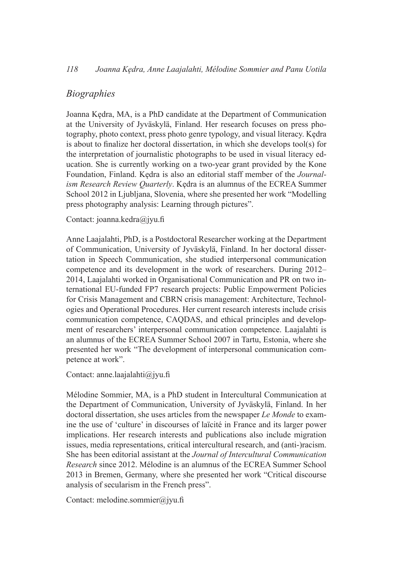## *Biographies*

Joanna Kędra, MA, is a PhD candidate at the Department of Communication at the University of Jyväskylä, Finland. Her research focuses on press photography, photo context, press photo genre typology, and visual literacy. Kędra is about to finalize her doctoral dissertation, in which she develops tool(s) for the interpretation of journalistic photographs to be used in visual literacy education. She is currently working on a two-year grant provided by the Kone Foundation, Finland. Kędra is also an editorial staff member of the *Journalism Research Review Quarterly*. Kędra is an alumnus of the ECREA Summer School 2012 in Ljubljana, Slovenia, where she presented her work "Modelling press photography analysis: Learning through pictures".

## Contact: joanna.kedra@jyu.fi

Anne Laajalahti, PhD, is a Postdoctoral Researcher working at the Department of Communication, University of Jyväskylä, Finland. In her doctoral dissertation in Speech Communication, she studied interpersonal communication competence and its development in the work of researchers. During 2012– 2014, Laajalahti worked in Organisational Communication and PR on two international EU-funded FP7 research projects: Public Empowerment Policies for Crisis Management and CBRN crisis management: Architecture, Technologies and Operational Procedures. Her current research interests include crisis communication competence, CAQDAS, and ethical principles and development of researchers' interpersonal communication competence. Laajalahti is an alumnus of the ECREA Summer School 2007 in Tartu, Estonia, where she presented her work "The development of interpersonal communication competence at work".

Contact: anne.laajalahti $\omega$ jyu.fi

Mélodine Sommier, MA, is a PhD student in Intercultural Communication at the Department of Communication, University of Jyväskylä, Finland. In her doctoral dissertation, she uses articles from the newspaper *Le Monde* to examine the use of 'culture' in discourses of laïcité in France and its larger power implications. Her research interests and publications also include migration issues, media representations, critical intercultural research, and (anti-)racism. She has been editorial assistant at the *Journal of Intercultural Communication Research* since 2012. Mélodine is an alumnus of the ECREA Summer School 2013 in Bremen, Germany, where she presented her work "Critical discourse analysis of secularism in the French press".

Contact: melodine.sommier@jyu.fi